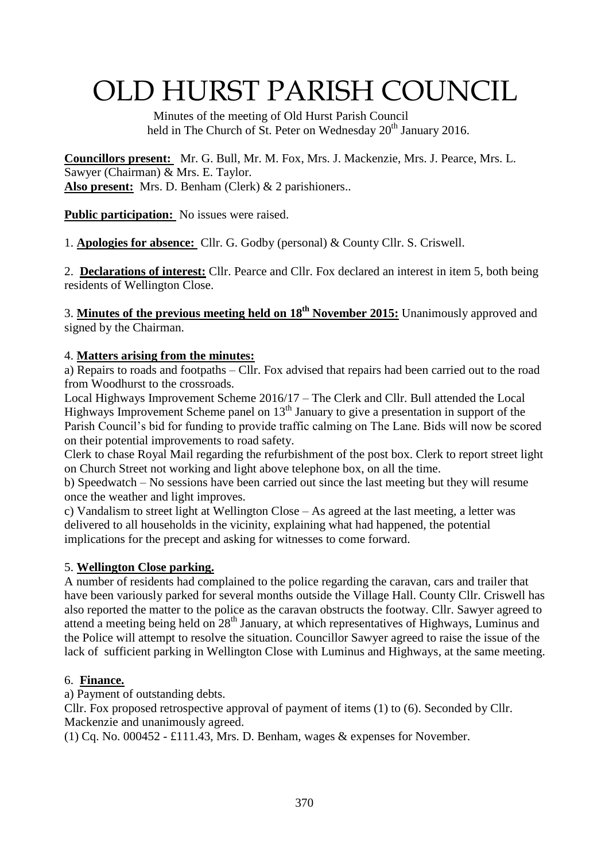# OLD HURST PARISH COUNCIL

 Minutes of the meeting of Old Hurst Parish Council held in The Church of St. Peter on Wednesday 20<sup>th</sup> January 2016.

**Councillors present:** Mr. G. Bull, Mr. M. Fox, Mrs. J. Mackenzie, Mrs. J. Pearce, Mrs. L. Sawyer (Chairman) & Mrs. E. Taylor. **Also present:** Mrs. D. Benham (Clerk) & 2 parishioners..

**Public participation:** No issues were raised.

1. **Apologies for absence:** Cllr. G. Godby (personal) & County Cllr. S. Criswell.

2. **Declarations of interest:** Cllr. Pearce and Cllr. Fox declared an interest in item 5, both being residents of Wellington Close.

3. **Minutes of the previous meeting held on 18 th November 2015:** Unanimously approved and signed by the Chairman.

## 4. **Matters arising from the minutes:**

a) Repairs to roads and footpaths – Cllr. Fox advised that repairs had been carried out to the road from Woodhurst to the crossroads.

Local Highways Improvement Scheme 2016/17 – The Clerk and Cllr. Bull attended the Local Highways Improvement Scheme panel on  $13<sup>th</sup>$  January to give a presentation in support of the Parish Council's bid for funding to provide traffic calming on The Lane. Bids will now be scored on their potential improvements to road safety.

Clerk to chase Royal Mail regarding the refurbishment of the post box. Clerk to report street light on Church Street not working and light above telephone box, on all the time.

b) Speedwatch – No sessions have been carried out since the last meeting but they will resume once the weather and light improves.

c) Vandalism to street light at Wellington Close – As agreed at the last meeting, a letter was delivered to all households in the vicinity, explaining what had happened, the potential implications for the precept and asking for witnesses to come forward.

## 5. **Wellington Close parking.**

A number of residents had complained to the police regarding the caravan, cars and trailer that have been variously parked for several months outside the Village Hall. County Cllr. Criswell has also reported the matter to the police as the caravan obstructs the footway. Cllr. Sawyer agreed to attend a meeting being held on  $28<sup>th</sup>$  January, at which representatives of Highways, Luminus and the Police will attempt to resolve the situation. Councillor Sawyer agreed to raise the issue of the lack of sufficient parking in Wellington Close with Luminus and Highways, at the same meeting.

## 6. **Finance.**

a) Payment of outstanding debts.

Cllr. Fox proposed retrospective approval of payment of items (1) to (6). Seconded by Cllr. Mackenzie and unanimously agreed.

(1) Cq. No. 000452 - £111.43, Mrs. D. Benham, wages & expenses for November.